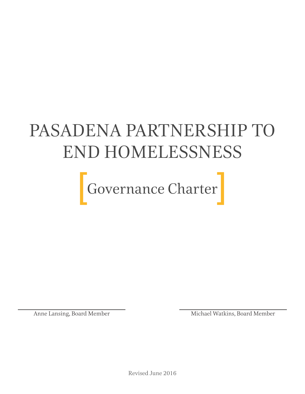# PASADENA PARTNERSHIP TO END HOMELESSNESS



Anne Lansing, Board Member Michael Watkins, Board Member

Revised June 2016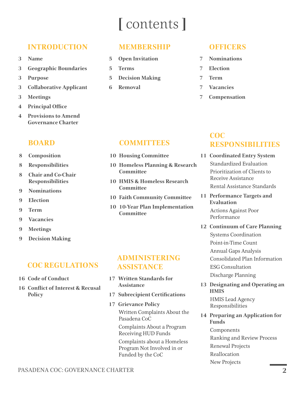# **[** contents **]**

# **[INTRODUCTION](#page-2-5) [MEMBERSHIP](#page-4-3) [OFFICERS](#page-6-5)**

- **3 [Name](#page-2-0)**
- **3 [Geographic Boundaries](#page-2-1)**
- **3 [Purpose](#page-2-2)**
- **3 [Collaborative Applicant](#page-2-3)**
- **3 [Meetings](#page-2-4)**
- **4 [Principal Office](#page-3-0)**
- **4 [Provisions to Amend](#page-3-1)  [Governance Charter](#page-3-1)**

- **8 [Composition](#page-7-0)**
- **8 [Responsibilities](#page-7-1)**
- **8 [Chair and Co-Chair](#page-7-2)  [Responsibilities](#page-7-2)**
- **9 [Nominations](#page-8-0)**
- **9 [Election](#page-8-1)**
- **9 [Term](#page-8-2)**
- **9 [Vacancies](#page-8-3)**
- **9 [Meetings](#page-8-4)**
- **9 [Decision Making](#page-8-5)**

# **[COC REGULATIONS](#page-15-2)**

- **16 [Code of Conduct](#page-15-0)**
- **16 [Conflict of Interest & Recusal](#page-15-1)  [Policy](#page-15-1)**

- **5 [Open Invitation](#page-4-0)**
- **5 [Terms](#page-4-1)**
- **5 [Decision Making](#page-4-2)**
- **6 [Removal](#page-5-0)**

- **7 [Nominations](#page-6-0)**
- **7 [Election](#page-6-1)**
- **7 [Term](#page-6-2)**
- **7 [Vacancies](#page-6-3)**
- **7 [Compensation](#page-6-4)**

#### **[BOARD](#page-7-3) [COMMITTEES](#page-9-5)**

- **10 [Housing Committee](#page-9-0)**
- **10 [Homeless Planning & Research](#page-9-1) [Committee](#page-9-1)**
- **10 [HMIS & Homeless Research](#page-9-2)  [Committee](#page-9-2)**
- **10 [Faith Community Committee](#page-9-3)**
- **10 [10-Year Plan Implementation](#page-9-4)  [Committee](#page-9-4)**

#### **[ADMINISTERING](#page-16-3)  [ASSISTANCE](#page-16-3)**

- **17 [Written Standards for](#page-16-0)  [Assistance](#page-16-0)**
- **17 [Subrecipient Certifications](#page-16-1)**
- **17 [Grievance Policy](#page-16-2)** [Written Complaints About the](#page-17-0)  [Pasadena CoC](#page-17-0) [Complaints About a Program](#page-17-1)  [Receiving HUD Funds](#page-17-1) [Complaints about a Homeless](#page-17-2)  [Program Not Involved in or](#page-17-2)  [Funded by the CoC](#page-17-2)

# **[COC](#page-10-5)  [RESPONSIBILITIES](#page-10-5)**

- **11 [Coordinated Entry System](#page-10-0)** [Standardized Evaluation](#page-10-1) [Prioritization of Clients to](#page-10-2)  [Receive Assistance](#page-10-2) [Rental Assistance Standards](#page-10-3)
- **11 [Performance Targets and](#page-10-4)  [Evaluation](#page-10-4)** [Actions Against Poor](#page-11-0)  [Performance](#page-11-0)
- **12 [Continuum of Care Planning](#page-11-1)** [Systems Coordination](#page-11-2) [Point-in-Time Count](#page-11-3) [Annual Gaps Analysis](#page-11-4) [Consolidated Plan Information](#page-11-5) [ESG Consultation](#page-11-6) [Discharge Planning](#page-12-0)
- **13 [Designating and Operating an](#page-12-1)  [HMIS](#page-12-1)** [HMIS Lead Agency](#page-12-2)

[Responsibilities](#page-12-2)

- **14 [Preparing an Application for](#page-13-0)  [Funds](#page-13-0)** [Components](#page-13-1)
	- [Ranking and Review Process](#page-13-2)
	- [Renewal Projects](#page-14-0)
	- [Reallocation](#page-14-1)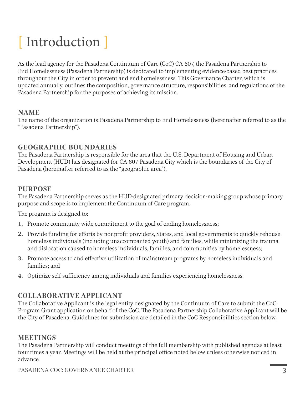# <span id="page-2-5"></span>[ Introduction ]

As the lead agency for the Pasadena Continuum of Care (CoC) CA-607, the Pasadena Partnership to End Homelessness (Pasadena Partnership) is dedicated to implementing evidence-based best practices throughout the City in order to prevent and end homelessness. This Governance Charter, which is updated annually, outlines the composition, governance structure, responsibilities, and regulations of the Pasadena Partnership for the purposes of achieving its mission.

### <span id="page-2-0"></span>**NAME**

The name of the organization is Pasadena Partnership to End Homelessness (hereinafter referred to as the "Pasadena Partnership").

# <span id="page-2-1"></span>**GEOGRAPHIC BOUNDARIES**

The Pasadena Partnership is responsible for the area that the U.S. Department of Housing and Urban Development (HUD) has designated for CA-607 Pasadena City which is the boundaries of the City of Pasadena (hereinafter referred to as the "geographic area").

# <span id="page-2-2"></span>**PURPOSE**

The Pasadena Partnership serves as the HUD-designated primary decision-making group whose primary purpose and scope is to implement the Continuum of Care program.

The program is designed to:

- **1.** Promote community wide commitment to the goal of ending homelessness;
- **2.** Provide funding for efforts by nonprofit providers, States, and local governments to quickly rehouse homeless individuals (including unaccompanied youth) and families, while minimizing the trauma and dislocation caused to homeless individuals, families, and communities by homelessness;
- **3.** Promote access to and effective utilization of mainstream programs by homeless individuals and families; and
- **4.** Optimize self-sufficiency among individuals and families experiencing homelessness.

# <span id="page-2-3"></span>**COLLABORATIVE APPLICANT**

The Collaborative Applicant is the legal entity designated by the Continuum of Care to submit the CoC Program Grant application on behalf of the CoC. The Pasadena Partnership Collaborative Applicant will be the City of Pasadena. Guidelines for submission are detailed in the CoC Responsibilities section below.

# <span id="page-2-4"></span>**MEETINGS**

The Pasadena Partnership will conduct meetings of the full membership with published agendas at least four times a year. Meetings will be held at the principal office noted below unless otherwise noticed in advance.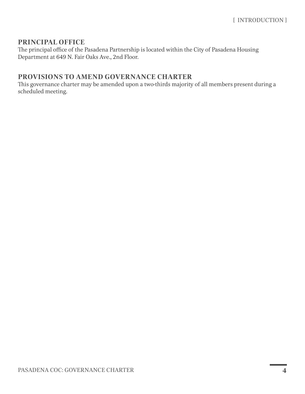# <span id="page-3-0"></span>**PRINCIPAL OFFICE**

The principal office of the Pasadena Partnership is located within the City of Pasadena Housing Department at 649 N. Fair Oaks Ave., 2nd Floor.

### <span id="page-3-1"></span>**PROVISIONS TO AMEND GOVERNANCE CHARTER**

This governance charter may be amended upon a two-thirds majority of all members present during a scheduled meeting.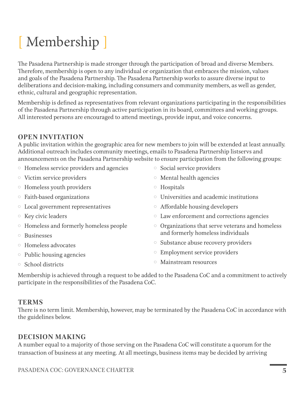# <span id="page-4-3"></span>[ Membership ]

The Pasadena Partnership is made stronger through the participation of broad and diverse Members. Therefore, membership is open to any individual or organization that embraces the mission, values and goals of the Pasadena Partnership. The Pasadena Partnership works to assure diverse input to deliberations and decision-making, including consumers and community members, as well as gender, ethnic, cultural and geographic representation.

Membership is defined as representatives from relevant organizations participating in the responsibilities of the Pasadena Partnership through active participation in its board, committees and working groups. All interested persons are encouraged to attend meetings, provide input, and voice concerns.

#### <span id="page-4-0"></span>**OPEN INVITATION**

A public invitation within the geographic area for new members to join will be extended at least annually. Additional outreach includes community meetings, emails to Pasadena Partnership listservs and announcements on the Pasadena Partnership website to ensure participation from the following groups:

- $\circ$  Homeless service providers and agencies
- $\circ$  Victim service providers
- $\circ$  Homeless youth providers
- $\circ$  Faith-based organizations
- $\circ$  Local government representatives
- $\circ$  Key civic leaders
- % Homeless and formerly homeless people
- **Businesses**
- **EXECUTE:** Homeless advocates
- $\circ$  Public housing agencies
- $\circ$  Social service providers  $\circ$  Mental health agencies
- $\circ$  Hospitals
- $\circ$  Universities and academic institutions
- $\circ$  Affordable housing developers
- $\circ$  Law enforcement and corrections agencies
- $\circ$  Organizations that serve veterans and homeless and formerly homeless individuals
- **Substance abuse recovery providers**
- $\circ$  Employment service providers

 $\circ$  School districts

 $\circ$  Mainstream resources

Membership is achieved through a request to be added to the Pasadena CoC and a commitment to actively participate in the responsibilities of the Pasadena CoC.

#### <span id="page-4-1"></span>**TERMS**

There is no term limit. Membership, however, may be terminated by the Pasadena CoC in accordance with the guidelines below.

### <span id="page-4-2"></span>**DECISION MAKING**

A number equal to a majority of those serving on the Pasadena CoC will constitute a quorum for the transaction of business at any meeting. At all meetings, business items may be decided by arriving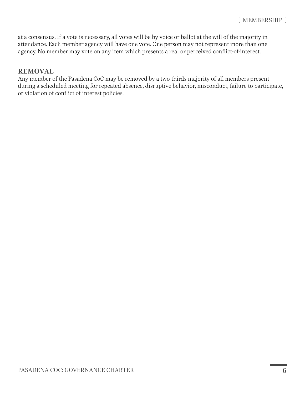at a consensus. If a vote is necessary, all votes will be by voice or ballot at the will of the majority in attendance. Each member agency will have one vote. One person may not represent more than one agency. No member may vote on any item which presents a real or perceived conflict-of-interest.

#### <span id="page-5-0"></span>**REMOVAL**

Any member of the Pasadena CoC may be removed by a two-thirds majority of all members present during a scheduled meeting for repeated absence, disruptive behavior, misconduct, failure to participate, or violation of conflict of interest policies.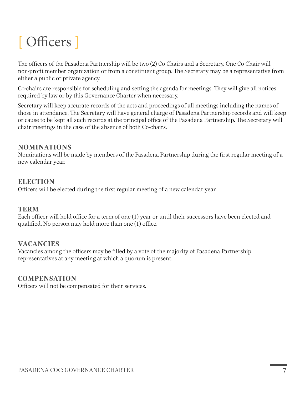# <span id="page-6-5"></span>[ Officers ]

The officers of the Pasadena Partnership will be two (2) Co-Chairs and a Secretary. One Co-Chair will non-profit member organization or from a constituent group. The Secretary may be a representative from either a public or private agency.

Co-chairs are responsible for scheduling and setting the agenda for meetings. They will give all notices required by law or by this Governance Charter when necessary.

Secretary will keep accurate records of the acts and proceedings of all meetings including the names of those in attendance. The Secretary will have general charge of Pasadena Partnership records and will keep or cause to be kept all such records at the principal office of the Pasadena Partnership. The Secretary will chair meetings in the case of the absence of both Co-chairs.

#### <span id="page-6-0"></span>**NOMINATIONS**

Nominations will be made by members of the Pasadena Partnership during the first regular meeting of a new calendar year.

#### <span id="page-6-1"></span>**ELECTION**

Officers will be elected during the first regular meeting of a new calendar year.

#### <span id="page-6-2"></span>**TERM**

Each officer will hold office for a term of one (1) year or until their successors have been elected and qualified. No person may hold more than one (1) office.

### <span id="page-6-3"></span>**VACANCIES**

Vacancies among the officers may be filled by a vote of the majority of Pasadena Partnership representatives at any meeting at which a quorum is present.

#### <span id="page-6-4"></span>**COMPENSATION**

Officers will not be compensated for their services.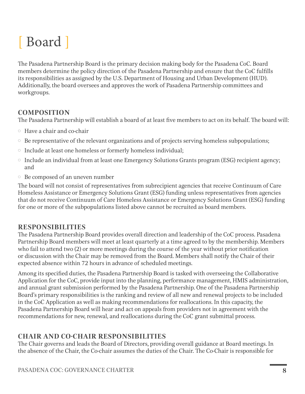# <span id="page-7-3"></span>[ Board ]

The Pasadena Partnership Board is the primary decision making body for the Pasadena CoC. Board members determine the policy direction of the Pasadena Partnership and ensure that the CoC fulfills its responsibilities as assigned by the U.S. Department of Housing and Urban Development (HUD). Additionally, the board oversees and approves the work of Pasadena Partnership committees and workgroups.

# <span id="page-7-0"></span>**COMPOSITION**

The Pasadena Partnership will establish a board of at least five members to act on its behalf. The board will:

- $\circ$  Have a chair and co-chair
- $\circ$  Be representative of the relevant organizations and of projects serving homeless subpopulations;
- $\circ$  Include at least one homeless or formerly homeless individual;
- $\circ$  Include an individual from at least one Emergency Solutions Grants program (ESG) recipient agency; and
- $\circ$  Be composed of an uneven number

The board will not consist of representatives from subrecipient agencies that receive Continuum of Care Homeless Assistance or Emergency Solutions Grant (ESG) funding unless representatives from agencies that do not receive Continuum of Care Homeless Assistance or Emergency Solutions Grant (ESG) funding for one or more of the subpopulations listed above cannot be recruited as board members.

### <span id="page-7-1"></span>**RESPONSIBILITIES**

The Pasadena Partnership Board provides overall direction and leadership of the CoC process. Pasadena Partnership Board members will meet at least quarterly at a time agreed to by the membership. Members who fail to attend two (2) or more meetings during the course of the year without prior notification or discussion with the Chair may be removed from the Board. Members shall notify the Chair of their expected absence within 72 hours in advance of scheduled meetings.

Among its specified duties, the Pasadena Partnership Board is tasked with overseeing the Collaborative Application for the CoC, provide input into the planning, performance management, HMIS administration, and annual grant submission performed by the Pasadena Partnership. One of the Pasadena Partnership Board's primary responsibilities is the ranking and review of all new and renewal projects to be included in the CoC Application as well as making recommendations for reallocations. In this capacity, the Pasadena Partnership Board will hear and act on appeals from providers not in agreement with the recommendations for new, renewal, and reallocations during the CoC grant submittal process.

# <span id="page-7-2"></span>**CHAIR AND CO-CHAIR RESPONSIBILITIES**

The Chair governs and leads the Board of Directors, providing overall guidance at Board meetings. In the absence of the Chair, the Co-chair assumes the duties of the Chair. The Co-Chair is responsible for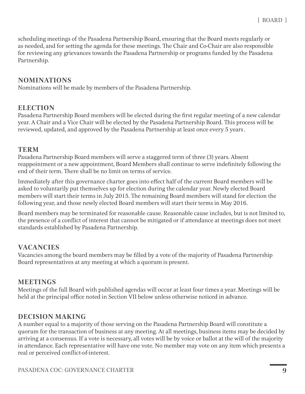scheduling meetings of the Pasadena Partnership Board, ensuring that the Board meets regularly or as needed, and for setting the agenda for these meetings. The Chair and Co-Chair are also responsible for reviewing any grievances towards the Pasadena Partnership or programs funded by the Pasadena Partnership.

### <span id="page-8-0"></span>**NOMINATIONS**

Nominations will be made by members of the Pasadena Partnership.

### <span id="page-8-1"></span>**ELECTION**

Pasadena Partnership Board members will be elected during the first regular meeting of a new calendar year. A Chair and a Vice Chair will be elected by the Pasadena Partnership Board. This process will be reviewed, updated, and approved by the Pasadena Partnership at least once every 5 years .

#### <span id="page-8-2"></span>**TERM**

Pasadena Partnership Board members will serve a staggered term of three (3) years. Absent reappointment or a new appointment, Board Members shall continue to serve indefinitely following the end of their term. There shall be no limit on terms of service.

Immediately after this governance charter goes into effect half of the current Board members will be asked to voluntarily put themselves up for election during the calendar year. Newly elected Board members will start their terms in July 2015. The remaining Board members will stand for election the following year, and those newly elected Board members will start their terms in May 2016.

Board members may be terminated for reasonable cause. Reasonable cause includes, but is not limited to, the presence of a conflict of interest that cannot be mitigated or if attendance at meetings does not meet standards established by Pasadena Partnership.

# <span id="page-8-3"></span>**VACANCIES**

Vacancies among the board members may be filled by a vote of the majority of Pasadena Partnership Board representatives at any meeting at which a quorum is present.

### <span id="page-8-4"></span>**MEETINGS**

Meetings of the full Board with published agendas will occur at least four times a year. Meetings will be held at the principal office noted in Section VII below unless otherwise noticed in advance.

# <span id="page-8-5"></span>**DECISION MAKING**

A number equal to a majority of those serving on the Pasadena Partnership Board will constitute a quorum for the transaction of business at any meeting. At all meetings, business items may be decided by arriving at a consensus. If a vote is necessary, all votes will be by voice or ballot at the will of the majority in attendance. Each representative will have one vote. No member may vote on any item which presents a real or perceived conflict-of-interest.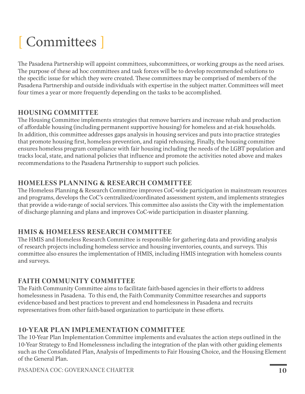# <span id="page-9-5"></span>[ Committees ]

The Pasadena Partnership will appoint committees, subcommittees, or working groups as the need arises. The purpose of these ad hoc committees and task forces will be to develop recommended solutions to the specific issue for which they were created. These committees may be comprised of members of the Pasadena Partnership and outside individuals with expertise in the subject matter. Committees will meet four times a year or more frequently depending on the tasks to be accomplished.

# <span id="page-9-0"></span>**HOUSING COMMITTEE**

The Housing Committee implements strategies that remove barriers and increase rehab and production of affordable housing (including permanent supportive housing) for homeless and at-risk households. In addition, this committee addresses gaps analysis in housing services and puts into practice strategies that promote housing first, homeless prevention, and rapid rehousing. Finally, the housing committee ensures homeless program compliance with fair housing including the needs of the LGBT population and tracks local, state, and national policies that influence and promote the activities noted above and makes recommendations to the Pasadena Partnership to support such policies.

# <span id="page-9-1"></span>**HOMELESS PLANNING & RESEARCH COMMITTEE**

The Homeless Planning & Research Committee improves CoC-wide participation in mainstream resources and programs, develops the CoC's centralized/coordinated assessment system, and implements strategies that provide a wide-range of social services. This committee also assists the City with the implementation of discharge planning and plans and improves CoC-wide participation in disaster planning.

# <span id="page-9-2"></span>**HMIS & HOMELESS RESEARCH COMMITTEE**

The HMIS and Homeless Research Committee is responsible for gathering data and providing analysis of research projects including homeless service and housing inventories, counts, and surveys. This committee also ensures the implementation of HMIS, including HMIS integration with homeless counts and surveys.

# <span id="page-9-3"></span>**FAITH COMMUNITY COMMITTEE**

The Faith Community Committee aims to facilitate faith-based agencies in their efforts to address homelessness in Pasadena. To this end, the Faith Community Committee researches and supports evidence-based and best practices to prevent and end homelessness in Pasadena and recruits representatives from other faith-based organization to participate in these efforts.

# <span id="page-9-4"></span>**10-YEAR PLAN IMPLEMENTATION COMMITTEE**

The 10-Year Plan Implementation Committee implements and evaluates the action steps outlined in the 10-Year Strategy to End Homelessness including the integration of the plan with other guiding elements such as the Consolidated Plan, Analysis of Impediments to Fair Housing Choice, and the Housing Element of the General Plan.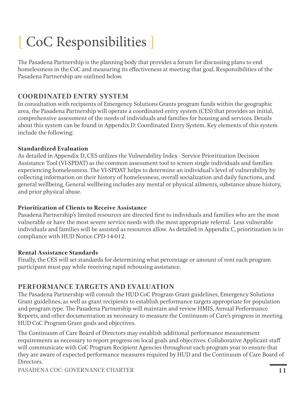# <span id="page-10-5"></span>[ CoC Responsibilities ]

The Pasadena Partnership is the planning body that provides a forum for discussing plans to end homelessness in the CoC and measuring its effectiveness at meeting that goal. Responsibilities of the Pasadena Partnership are outlined below.

# <span id="page-10-0"></span>**COORDINATED ENTRY SYSTEM**

In consultation with recipients of Emergency Solutions Grants program funds within the geographic area, the Pasadena Partnership will operate a coordinated entry system (CES) that provides an initial, comprehensive assessment of the needs of individuals and families for housing and services. Details about this system can be found in Appendix D: Coordinated Entry System. Key elements of this system include the following:

#### <span id="page-10-1"></span>**Standardized Evaluation**

As detailed in Appendix D, CES utilizes the Vulnerability Index - Service Prioritization Decision Assistance Tool (VI-SPDAT) as the common assessment tool to screen single individuals and families experiencing homelessness. The VI-SPDAT helps to determine an individual's level of vulnerability by collecting information on their history of homelessness, overall socialization and daily functions, and general wellbeing. General wellbeing includes any mental or physical ailments, substance abuse history, and prior physical abuse.

#### <span id="page-10-2"></span>**Prioritization of Clients to Receive Assistance**

Pasadena Partnership's limited resources are directed first to individuals and families who are the most vulnerable or have the most severe service needs with the most appropriate referral. Less vulnerable individuals and families will be assisted as resources allow. As detailed in Appendix C, prioritization is in compliance with HUD Notice CPD-14-012.

#### <span id="page-10-3"></span>**Rental Assistance Standards**

Finally, the CES will set standards for determining what percentage or amount of rent each program participant must pay while receiving rapid rehousing assistance.

# <span id="page-10-4"></span>**PERFORMANCE TARGETS AND EVALUATION**

The Pasadena Partnership will consult the HUD CoC Program Grant guidelines, Emergency Solutions Grant guidelines, as well as grant recipients to establish performance targets appropriate for population and program type. The Pasadena Partnership will maintain and review HMIS, Annual Performance Reports, and other documentation as necessary to measure the Continuum of Care's progress in meeting HUD CoC Program Grant goals and objectives.

The Continuum of Care Board of Directors may establish additional performance measurement requirements as necessary to report progress on local goals and objectives. Collaborative Applicant staff will communicate with CoC Program Recipient Agencies throughout each program year to ensure that they are aware of expected performance measures required by HUD and the Continuum of Care Board of Directors.

PASADENA COC: GOVERNANCE CHARTER **11**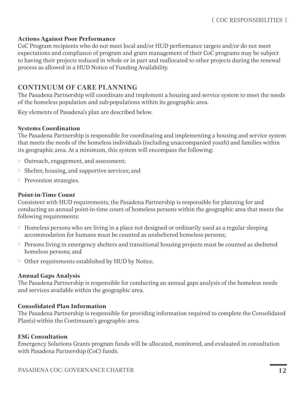#### <span id="page-11-0"></span>**Actions Against Poor Performance**

CoC Program recipients who do not meet local and/or HUD performance targets and/or do not meet expectations and compliance of program and grant management of their CoC programs may be subject to having their projects reduced in whole or in part and reallocated to other projects during the renewal process as allowed in a HUD Notice of Funding Availability.

#### <span id="page-11-1"></span>**CONTINUUM OF CARE PLANNING**

The Pasadena Partnership will coordinate and implement a housing and service system to meet the needs of the homeless population and sub-populations within its geographic area.

Key elements of Pasadena's plan are described below.

#### <span id="page-11-2"></span>**Systems Coordination**

The Pasadena Partnership is responsible for coordinating and implementing a housing and service system that meets the needs of the homeless individuals (including unaccompanied youth) and families within its geographic area. At a minimum, this system will encompass the following:

- % Outreach, engagement, and assessment;
- $\circ$  Shelter, housing, and supportive services; and
- $\circ$  Prevention strategies.

#### <span id="page-11-3"></span>**Point-in-Time Count**

Consistent with HUD requirements, the Pasadena Partnership is responsible for planning for and conducting an annual point-in-time count of homeless persons within the geographic area that meets the following requirements:

- $\circ$  Homeless persons who are living in a place not designed or ordinarily used as a regular sleeping accommodation for humans must be counted as unsheltered homeless persons;
- $\circ$  Persons living in emergency shelters and transitional housing projects must be counted as sheltered homeless persons; and
- $\circ$  Other requirements established by HUD by Notice.

#### <span id="page-11-4"></span>**Annual Gaps Analysis**

The Pasadena Partnership is responsible for conducting an annual gaps analysis of the homeless needs and services available within the geographic area.

#### <span id="page-11-5"></span>**Consolidated Plan Information**

The Pasadena Partnership is responsible for providing information required to complete the Consolidated Plan(s) within the Continuum's geographic area.

#### <span id="page-11-6"></span>**ESG Consultation**

Emergency Solutions Grants program funds will be allocated, monitored, and evaluated in consultation with Pasadena Partnership (CoC) funds.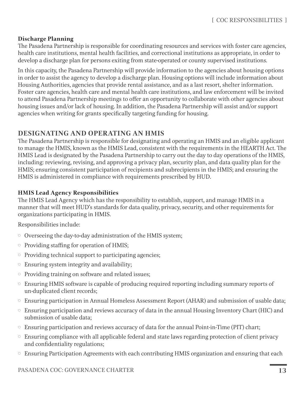#### <span id="page-12-0"></span>**Discharge Planning**

The Pasadena Partnership is responsible for coordinating resources and services with foster care agencies, health care institutions, mental health facilities, and correctional institutions as appropriate, in order to develop a discharge plan for persons exiting from state-operated or county supervised institutions.

In this capacity, the Pasadena Partnership will provide information to the agencies about housing options in order to assist the agency to develop a discharge plan. Housing options will include information about Housing Authorities, agencies that provide rental assistance, and as a last resort, shelter information. Foster care agencies, health care and mental health care institutions, and law enforcement will be invited to attend Pasadena Partnership meetings to offer an opportunity to collaborate with other agencies about housing issues and/or lack of housing. In addition, the Pasadena Partnership will assist and/or support agencies when writing for grants specifically targeting funding for housing.

# <span id="page-12-1"></span>**DESIGNATING AND OPERATING AN HMIS**

The Pasadena Partnership is responsible for designating and operating an HMIS and an eligible applicant to manage the HMIS, known as the HMIS Lead, consistent with the requirements in the HEARTH Act. The HMIS Lead is designated by the Pasadena Partnership to carry out the day to day operations of the HMIS, including: reviewing, revising, and approving a privacy plan, security plan, and data quality plan for the HMIS; ensuring consistent participation of recipients and subrecipients in the HMIS; and ensuring the HMIS is administered in compliance with requirements prescribed by HUD.

#### <span id="page-12-2"></span>**HMIS Lead Agency Responsibilities**

The HMIS Lead Agency which has the responsibility to establish, support, and manage HMIS in a manner that will meet HUD's standards for data quality, privacy, security, and other requirements for organizations participating in HMIS.

Responsibilities include:

- $\circ$  Overseeing the day-to-day administration of the HMIS system;
- % Providing staffing for operation of HMIS;
- $\circ$  Providing technical support to participating agencies;
- $\circ$  Ensuring system integrity and availability;
- $\circ$  Providing training on software and related issues;
- $\circ$  Ensuring HMIS software is capable of producing required reporting including summary reports of un-duplicated client records;
- Ensuring participation in Annual Homeless Assessment Report (AHAR) and submission of usable data;
- % Ensuring participation and reviews accuracy of data in the annual Housing Inventory Chart (HIC) and submission of usable data;
- $\circ$  Ensuring participation and reviews accuracy of data for the annual Point-in-Time (PIT) chart;
- $\circ$  Ensuring compliance with all applicable federal and state laws regarding protection of client privacy and confidentiality regulations;
- $\circ$  Ensuring Participation Agreements with each contributing HMIS organization and ensuring that each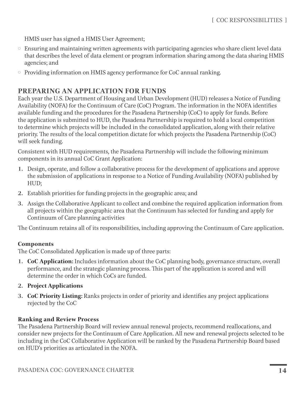HMIS user has signed a HMIS User Agreement;

- $\circ$  Ensuring and maintaining written agreements with participating agencies who share client level data that describes the level of data element or program information sharing among the data sharing HMIS agencies; and
- $\circ$  Providing information on HMIS agency performance for CoC annual ranking.

### <span id="page-13-0"></span>**PREPARING AN APPLICATION FOR FUNDS**

Each year the U.S. Department of Housing and Urban Development (HUD) releases a Notice of Funding Availability (NOFA) for the Continuum of Care (CoC) Program. The information in the NOFA identifies available funding and the procedures for the Pasadena Partnership (CoC) to apply for funds. Before the application is submitted to HUD, the Pasadena Partnership is required to hold a local competition to determine which projects will be included in the consolidated application, along with their relative priority. The results of the local competition dictate for which projects the Pasadena Partnership (CoC) will seek funding.

Consistent with HUD requirements, the Pasadena Partnership will include the following minimum components in its annual CoC Grant Application:

- **1.** Design, operate, and follow a collaborative process for the development of applications and approve the submission of applications in response to a Notice of Funding Availability (NOFA) published by HUD;
- **2.** Establish priorities for funding projects in the geographic area; and
- **3.** Assign the Collaborative Applicant to collect and combine the required application information from all projects within the geographic area that the Continuum has selected for funding and apply for Continuum of Care planning activities

The Continuum retains all of its responsibilities, including approving the Continuum of Care application.

#### <span id="page-13-1"></span>**Components**

The CoC Consolidated Application is made up of three parts:

- **1. CoC Application:** Includes information about the CoC planning body, governance structure, overall performance, and the strategic planning process. This part of the application is scored and will determine the order in which CoCs are funded.
- **2. Project Applications**
- **3. CoC Priority Listing:** Ranks projects in order of priority and identifies any project applications rejected by the CoC

#### <span id="page-13-2"></span>**Ranking and Review Process**

The Pasadena Partnership Board will review annual renewal projects, recommend reallocations, and consider new projects for the Continuum of Care Application. All new and renewal projects selected to be including in the CoC Collaborative Application will be ranked by the Pasadena Partnership Board based on HUD's priorities as articulated in the NOFA.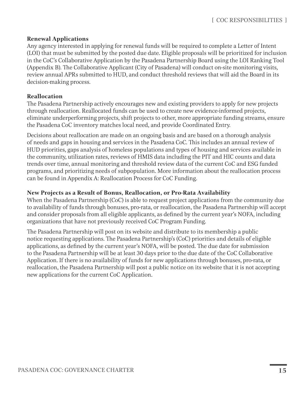#### <span id="page-14-0"></span>**Renewal Applications**

Any agency interested in applying for renewal funds will be required to complete a Letter of Intent (LOI) that must be submitted by the posted due date. Eligible proposals will be prioritized for inclusion in the CoC's Collaborative Application by the Pasadena Partnership Board using the LOI Ranking Tool (Appendix B). The Collaborative Applicant (City of Pasadena) will conduct on-site monitoring visits, review annual APRs submitted to HUD, and conduct threshold reviews that will aid the Board in its decision-making process.

#### <span id="page-14-1"></span>**Reallocation**

The Pasadena Partnership actively encourages new and existing providers to apply for new projects through reallocation. Reallocated funds can be used to create new evidence-informed projects, eliminate underperforming projects, shift projects to other, more appropriate funding streams, ensure the Pasadena CoC inventory matches local need, and provide Coordinated Entry.

Decisions about reallocation are made on an ongoing basis and are based on a thorough analysis of needs and gaps in housing and services in the Pasadena CoC. This includes an annual review of HUD priorities, gaps analysis of homeless populations and types of housing and services available in the community, utilization rates, reviews of HMIS data including the PIT and HIC counts and data trends over time, annual monitoring and threshold review data of the current CoC and ESG funded programs, and prioritizing needs of subpopulation. More information about the reallocation process can be found in Appendix A: Reallocation Process for CoC Funding.

#### <span id="page-14-2"></span>**New Projects as a Result of Bonus, Reallocation, or Pro-Rata Availability**

When the Pasadena Partnership (CoC) is able to request project applications from the community due to availability of funds through bonuses, pro-rata, or reallocation, the Pasadena Partnership will accept and consider proposals from all eligible applicants, as defined by the current year's NOFA, including organizations that have not previously received CoC Program Funding.

The Pasadena Partnership will post on its website and distribute to its membership a public notice requesting applications. The Pasadena Partnership's (CoC) priorities and details of eligible applications, as defined by the current year's NOFA, will be posted. The due date for submission to the Pasadena Partnership will be at least 30 days prior to the due date of the CoC Collaborative Application. If there is no availability of funds for new applications through bonuses, pro-rata, or reallocation, the Pasadena Partnership will post a public notice on its website that it is not accepting new applications for the current CoC Application.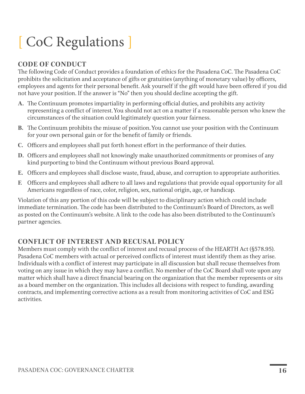# <span id="page-15-2"></span>[ CoC Regulations ]

# <span id="page-15-0"></span>**CODE OF CONDUCT**

The following Code of Conduct provides a foundation of ethics for the Pasadena CoC. The Pasadena CoC prohibits the solicitation and acceptance of gifts or gratuities (anything of monetary value) by officers, employees and agents for their personal benefit. Ask yourself if the gift would have been offered if you did not have your position. If the answer is "No" then you should decline accepting the gift.

- **A.** The Continuum promotes impartiality in performing official duties, and prohibits any activity representing a conflict of interest. You should not act on a matter if a reasonable person who knew the circumstances of the situation could legitimately question your fairness.
- **B.** The Continuum prohibits the misuse of position. You cannot use your position with the Continuum for your own personal gain or for the benefit of family or friends.
- **C.** Officers and employees shall put forth honest effort in the performance of their duties.
- **D.** Officers and employees shall not knowingly make unauthorized commitments or promises of any kind purporting to bind the Continuum without previous Board approval.
- **E.** Officers and employees shall disclose waste, fraud, abuse, and corruption to appropriate authorities.
- **F.** Officers and employees shall adhere to all laws and regulations that provide equal opportunity for all Americans regardless of race, color, religion, sex, national origin, age, or handicap.

Violation of this any portion of this code will be subject to disciplinary action which could include immediate termination. The code has been distributed to the Continuum's Board of Directors, as well as posted on the Continuum's website. A link to the code has also been distributed to the Continuum's partner agencies.

# <span id="page-15-1"></span>**CONFLICT OF INTEREST AND RECUSAL POLICY**

Members must comply with the conflict of interest and recusal process of the HEARTH Act (§578.95). Pasadena CoC members with actual or perceived conflicts of interest must identify them as they arise. Individuals with a conflict of interest may participate in all discussion but shall recuse themselves from voting on any issue in which they may have a conflict. No member of the CoC Board shall vote upon any matter which shall have a direct financial bearing on the organization that the member represents or sits as a board member on the organization. This includes all decisions with respect to funding, awarding contracts, and implementing corrective actions as a result from monitoring activities of CoC and ESG activities.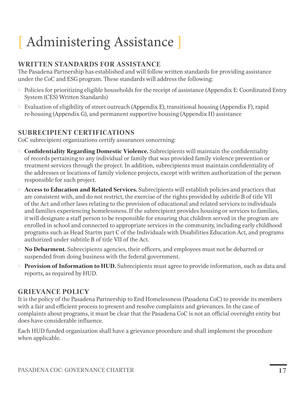# <span id="page-16-3"></span>[ Administering Assistance ]

# <span id="page-16-0"></span>**WRITTEN STANDARDS FOR ASSISTANCE**

The Pasadena Partnership has established and will follow written standards for providing assistance under the CoC and ESG program. These standards will address the following:

- $\circ$  Policies for prioritizing eligible households for the receipt of assistance (Appendix E: Coordinated Entry System (CES) Written Standards)
- $\circ$  Evaluation of eligibility of street outreach (Appendix E), transitional housing (Appendix F), rapid re-housing (Appendix G), and permanent supportive housing (Appendix H) assistance

# <span id="page-16-1"></span>**SUBRECIPIENT CERTIFICATIONS**

CoC subrecipient organizations certify assurances concerning:

- % **Confidentiality Regarding Domestic Violence.** Subrecipients will maintain the confidentiality of records pertaining to any individual or family that was provided family violence prevention or treatment services through the project. In addition, subrecipients must maintain confidentiality of the addresses or locations of family violence projects, except with written authorization of the person responsible for such project.
- % **Access to Education and Related Services.** Subrecipients will establish policies and practices that are consistent with, and do not restrict, the exercise of the rights provided by subtitle B of title VII of the Act and other laws relating to the provision of educational and related services to individuals and families experiencing homelessness. If the subrecipient provides housing or services to families, it will designate a staff person to be responsible for ensuring that children served in the program are enrolled in school and connected to appropriate services in the community, including early childhood programs such as Head Startm part C of the Individuals with Disabilities Education Act, and programs authorized under subtitle B of title VII of the Act.
- % **No Debarment.** Subrecipients agencies, their officers, and employees must not be debarred or suspended from doing business with the federal government.
- % **Provision of Information to HUD.** Subrecipients must agree to provide information, such as data and reports, as required by HUD.

# <span id="page-16-2"></span>**GRIEVANCE POLICY**

It is the policy of the Pasadena Partnership to End Homelessness (Pasadena CoC) to provide its members with a fair and efficient process to present and resolve complaints and grievances. In the case of complaints about programs, it must be clear that the Pasadena CoC is not an official oversight entity but does have considerable influence.

Each HUD funded organization shall have a grievance procedure and shall implement the procedure when applicable.